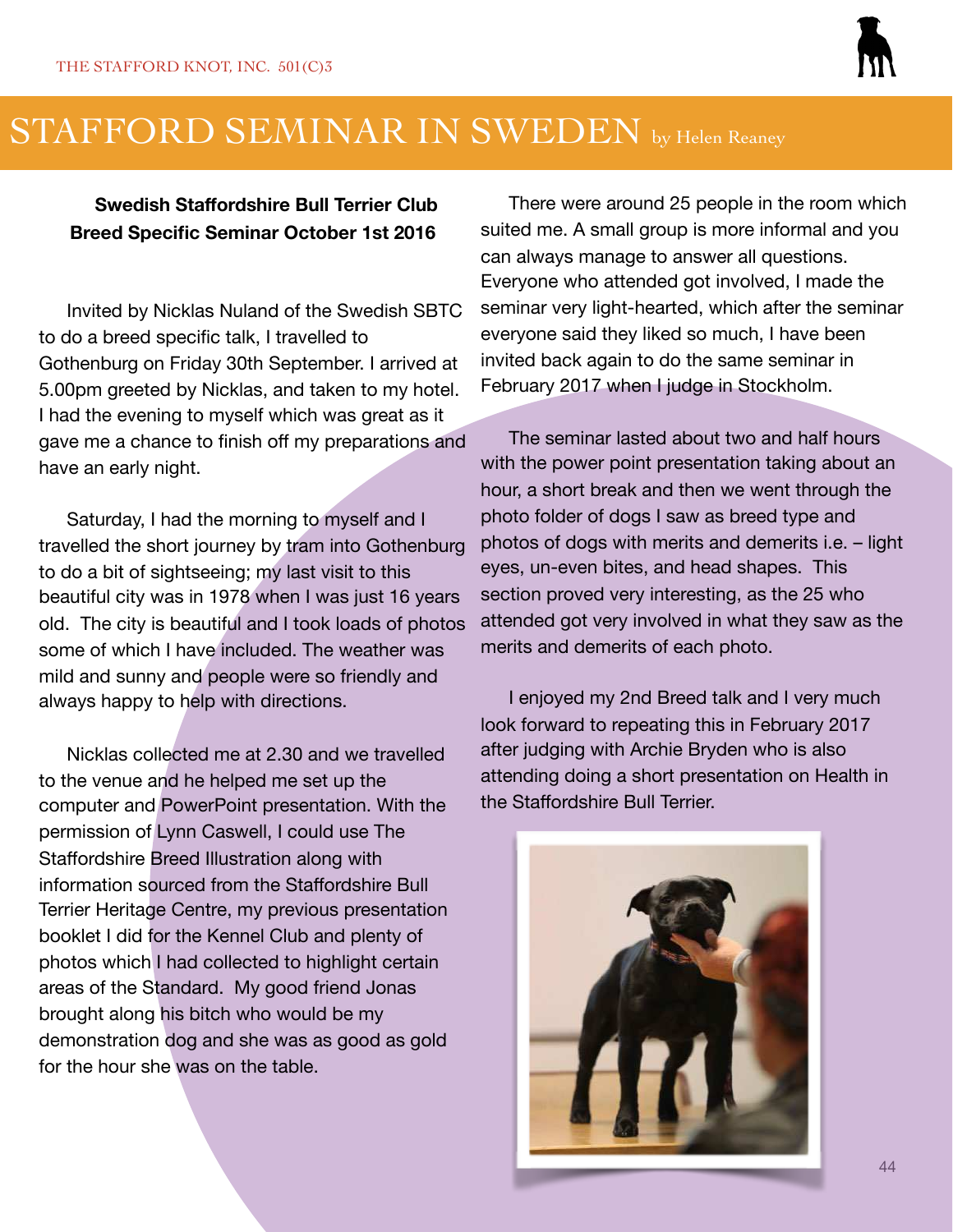

### STAFFORD SEMINAR IN SWEDEN by Helen Reaney

#### **Swedish Staffordshire Bull Terrier Club Breed Specific Seminar October 1st 2016**

Invited by Nicklas Nuland of the Swedish SBTC to do a breed specific talk, I travelled to Gothenburg on Friday 30th September. I arrived at 5.00pm greeted by Nicklas, and taken to my hotel. I had the evening to myself which was great as it gave me a chance to finish off my preparations and have an early night.

Saturday, I had the morning to myself and I travelled the short journey by tram into Gothenburg to do a bit of sightseeing; my last visit to this beautiful city was in 1978 when I was just 16 years old. The city is beautiful and I took loads of photos some of which I have included. The weather was mild and sunny and people were so friendly and always happy to help with directions.

Nicklas collected me at 2.30 and we travelled to the venue and he helped me set up the computer and PowerPoint presentation. With the permission of Lynn Caswell, I could use The Staffordshire Breed Illustration along with information sourced from the Staffordshire Bull Terrier Heritage Centre, my previous presentation booklet I did for the Kennel Club and plenty of photos which I had collected to highlight certain areas of the Standard. My good friend Jonas brought along his bitch who would be my demonstration dog and she was as good as gold for the hour she was on the table.

There were around 25 people in the room which suited me. A small group is more informal and you can always manage to answer all questions. Everyone who attended got involved, I made the seminar very light-hearted, which after the seminar everyone said they liked so much, I have been invited back again to do the same seminar in February 2017 when I judge in Stockholm.

The seminar lasted about two and half hours with the power point presentation taking about an hour, a short break and then we went through the photo folder of dogs I saw as breed type and photos of dogs with merits and demerits i.e. – light eyes, un-even bites, and head shapes. This section proved very interesting, as the 25 who attended got very involved in what they saw as the merits and demerits of each photo.

I enjoyed my 2nd Breed talk and I very much look forward to repeating this in February 2017 after judging with Archie Bryden who is also attending doing a short presentation on Health in the Staffordshire Bull Terrier.

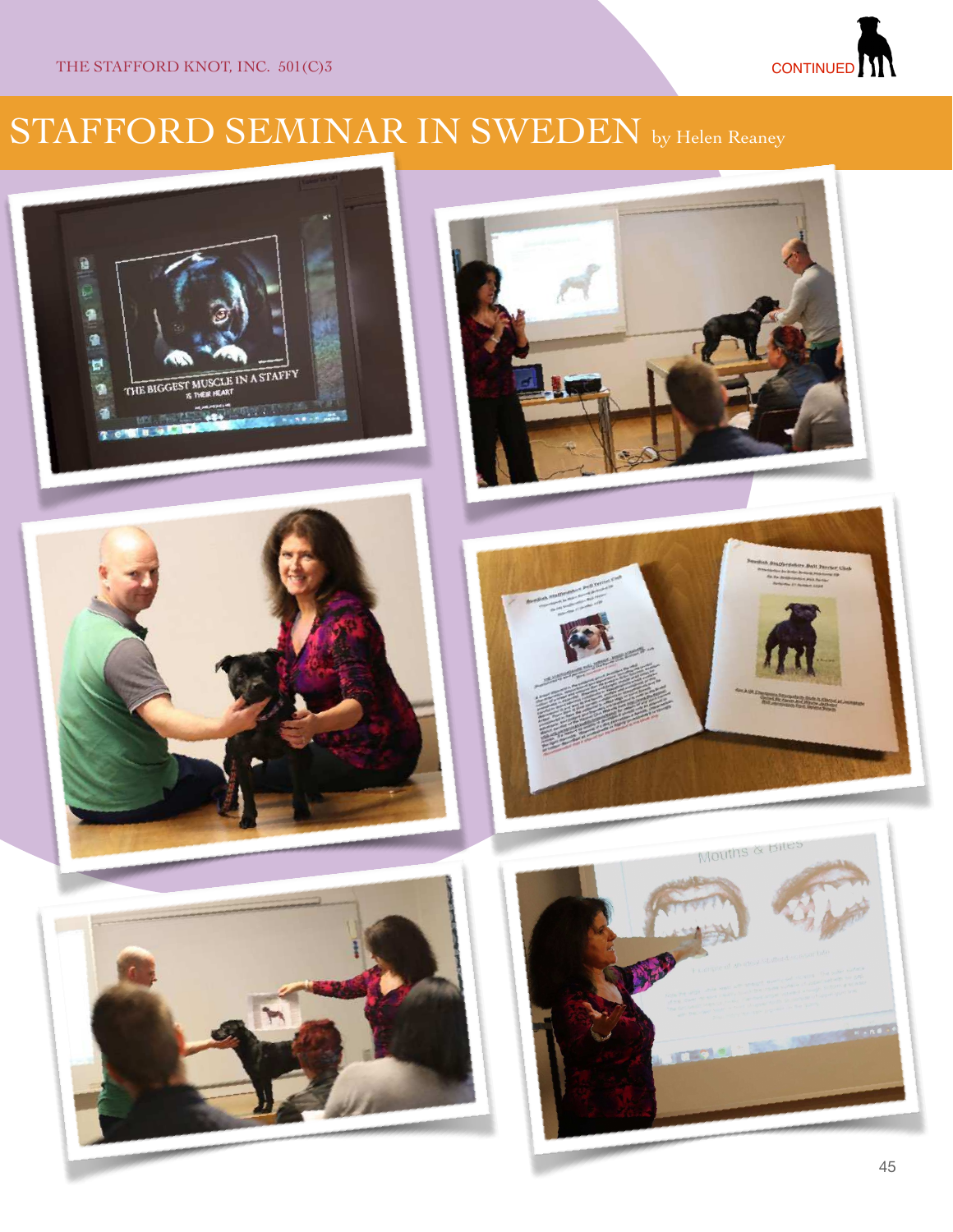#### CONTINUED<sup>I</sup>

# STAFFORD SEMINAR IN SWEDEN by Helen Reaney